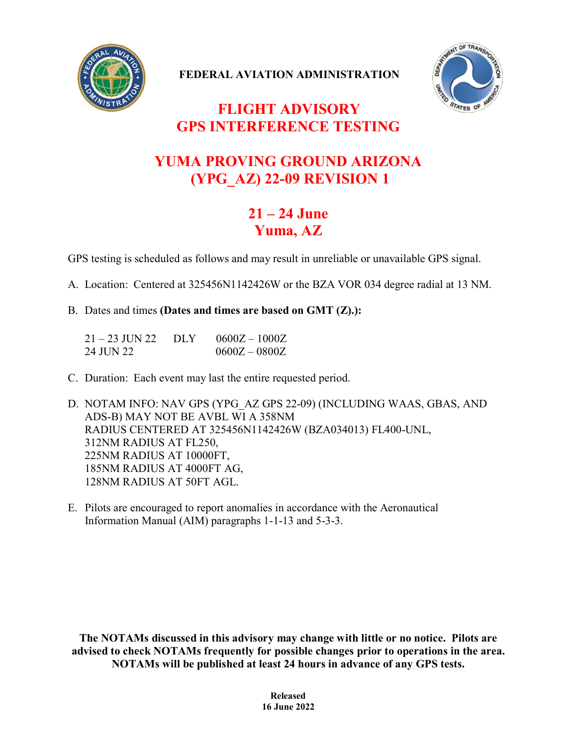

**FEDERAL AVIATION ADMINISTRATION**



## **FLIGHT ADVISORY GPS INTERFERENCE TESTING**

## **YUMA PROVING GROUND ARIZONA (YPG\_AZ) 22-09 REVISION 1**

## **21 – 24 June Yuma, AZ**

GPS testing is scheduled as follows and may result in unreliable or unavailable GPS signal.

A. Location: Centered at 325456N1142426W or the BZA VOR 034 degree radial at 13 NM.

B. Dates and times **(Dates and times are based on GMT (Z).):**

| $21 - 23$ JUN 22 | DLY | $0600Z - 1000Z$ |
|------------------|-----|-----------------|
| 24 JUN 22        |     | $0600Z - 0800Z$ |

C. Duration: Each event may last the entire requested period.

D. NOTAM INFO: NAV GPS (YPG\_AZ GPS 22-09) (INCLUDING WAAS, GBAS, AND ADS-B) MAY NOT BE AVBL WI A 358NM RADIUS CENTERED AT 325456N1142426W (BZA034013) FL400-UNL, 312NM RADIUS AT FL250, 225NM RADIUS AT 10000FT, 185NM RADIUS AT 4000FT AG, 128NM RADIUS AT 50FT AGL.

E. Pilots are encouraged to report anomalies in accordance with the Aeronautical Information Manual (AIM) paragraphs 1-1-13 and 5-3-3.

**The NOTAMs discussed in this advisory may change with little or no notice. Pilots are advised to check NOTAMs frequently for possible changes prior to operations in the area. NOTAMs will be published at least 24 hours in advance of any GPS tests.**